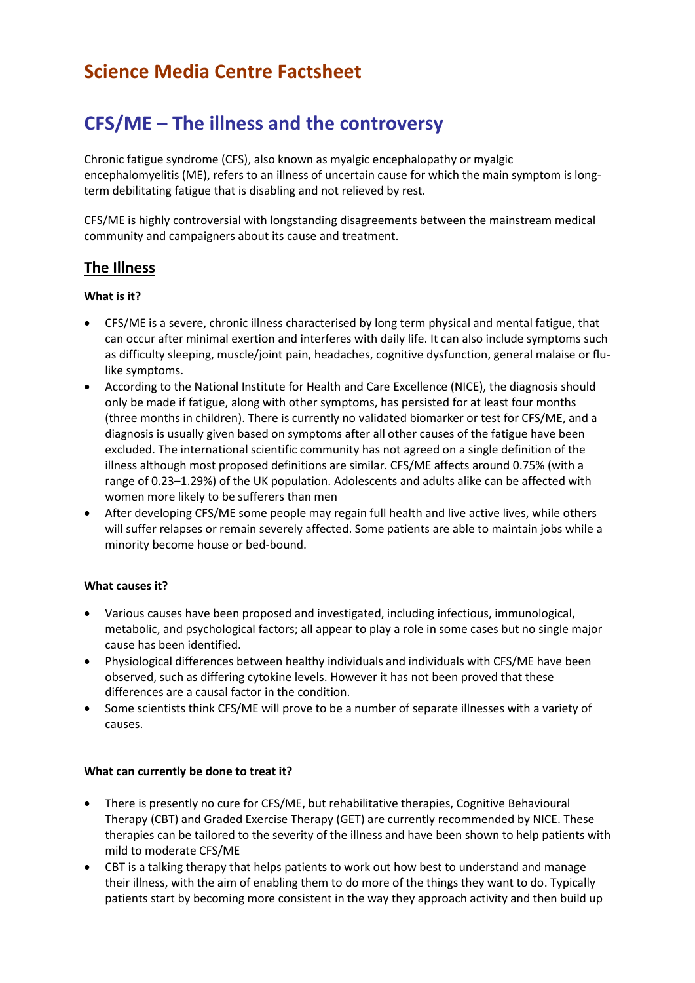# **Science Media Centre Factsheet**

# **CFS/ME – The illness and the controversy**

Chronic fatigue syndrome (CFS), also known as myalgic encephalopathy or myalgic encephalomyelitis (ME), refers to an illness of uncertain cause for which the main symptom is longterm debilitating fatigue that is disabling and not relieved by rest.

CFS/ME is highly controversial with longstanding disagreements between the mainstream medical community and campaigners about its cause and treatment.

# **The Illness**

## **What is it?**

- CFS/ME is a severe, chronic illness characterised by long term physical and mental fatigue, that can occur after minimal exertion and interferes with daily life. It can also include symptoms such as difficulty sleeping, muscle/joint pain, headaches, cognitive dysfunction, general malaise or flulike symptoms.
- According to the National Institute for Health and Care Excellence (NICE), the diagnosis should only be made if fatigue, along with other symptoms, has persisted for at least four months (three months in children). There is currently no validated biomarker or test for CFS/ME, and a diagnosis is usually given based on symptoms after all other causes of the fatigue have been excluded. The international scientific community has not agreed on a single definition of the illness although most proposed definitions are similar. CFS/ME affects around 0.75% (with a range of 0.23–1.29%) of the UK population. Adolescents and adults alike can be affected with women more likely to be sufferers than men
- After developing CFS/ME some people may regain full health and live active lives, while others will suffer relapses or remain severely affected. Some patients are able to maintain jobs while a minority become house or bed-bound.

## **What causes it?**

- Various causes have been proposed and investigated, including infectious, immunological, metabolic, and psychological factors; all appear to play a role in some cases but no single major cause has been identified.
- Physiological differences between healthy individuals and individuals with CFS/ME have been observed, such as differing cytokine levels. However it has not been proved that these differences are a causal factor in the condition.
- Some scientists think CFS/ME will prove to be a number of separate illnesses with a variety of causes.

## **What can currently be done to treat it?**

- There is presently no cure for CFS/ME, but rehabilitative therapies, Cognitive Behavioural Therapy (CBT) and Graded Exercise Therapy (GET) are currently recommended by NICE. These therapies can be tailored to the severity of the illness and have been shown to help patients with mild to moderate CFS/ME
- CBT is a talking therapy that helps patients to work out how best to understand and manage their illness, with the aim of enabling them to do more of the things they want to do. Typically patients start by becoming more consistent in the way they approach activity and then build up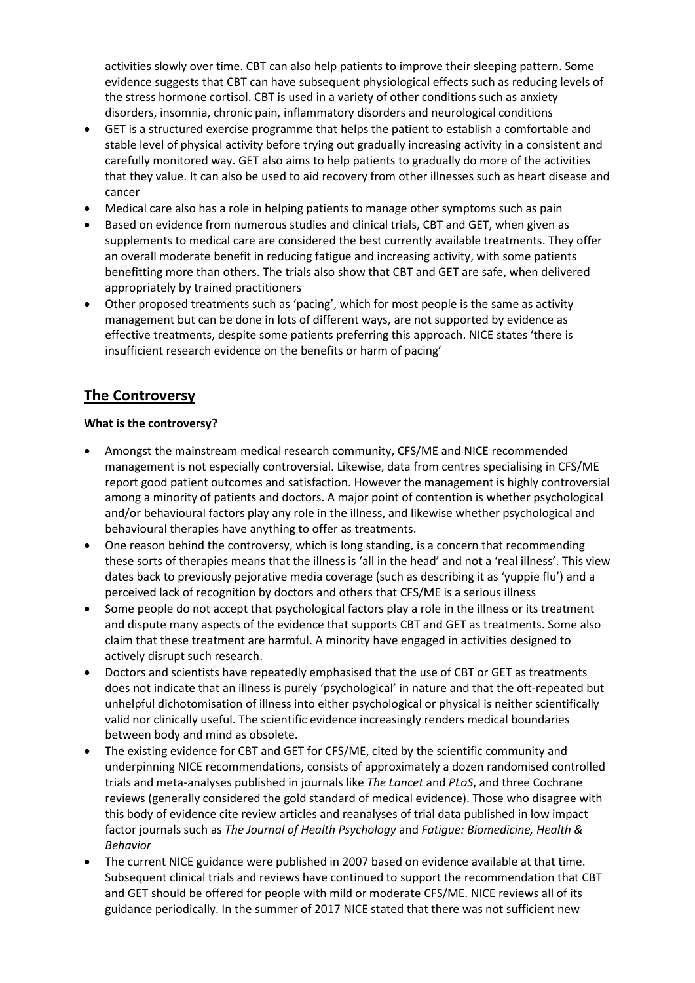activities slowly over time. CBT can also help patients to improve their sleeping pattern. Some evidence suggests that CBT can have subsequent physiological effects such as reducing levels of the stress hormone cortisol. CBT is used in a variety of other conditions such as anxiety disorders, insomnia, chronic pain, inflammatory disorders and neurological conditions

- GET is a structured exercise programme that helps the patient to establish a comfortable and stable level of physical activity before trying out gradually increasing activity in a consistent and carefully monitored way. GET also aims to help patients to gradually do more of the activities that they value. It can also be used to aid recovery from other illnesses such as heart disease and cancer
- Medical care also has a role in helping patients to manage other symptoms such as pain
- Based on evidence from numerous studies and clinical trials, CBT and GET, when given as supplements to medical care are considered the best currently available treatments. They offer an overall moderate benefit in reducing fatigue and increasing activity, with some patients benefitting more than others. The trials also show that CBT and GET are safe, when delivered appropriately by trained practitioners
- Other proposed treatments such as 'pacing', which for most people is the same as activity management but can be done in lots of different ways, are not supported by evidence as effective treatments, despite some patients preferring this approach. NICE states 'there is insufficient research evidence on the benefits or harm of pacing'

# **The Controversy**

### **What is the controversy?**

- Amongst the mainstream medical research community, CFS/ME and NICE recommended management is not especially controversial. Likewise, data from centres specialising in CFS/ME report good patient outcomes and satisfaction. However the management is highly controversial among a minority of patients and doctors. A major point of contention is whether psychological and/or behavioural factors play any role in the illness, and likewise whether psychological and behavioural therapies have anything to offer as treatments.
- One reason behind the controversy, which is long standing, is a concern that recommending these sorts of therapies means that the illness is 'all in the head' and not a 'real illness'. This view dates back to previously pejorative media coverage (such as describing it as 'yuppie flu') and a perceived lack of recognition by doctors and others that CFS/ME is a serious illness
- Some people do not accept that psychological factors play a role in the illness or its treatment and dispute many aspects of the evidence that supports CBT and GET as treatments. Some also claim that these treatment are harmful. A minority have engaged in activities designed to actively disrupt such research.
- Doctors and scientists have repeatedly emphasised that the use of CBT or GET as treatments does not indicate that an illness is purely 'psychological' in nature and that the oft-repeated but unhelpful dichotomisation of illness into either psychological or physical is neither scientifically valid nor clinically useful. The scientific evidence increasingly renders medical boundaries between body and mind as obsolete.
- The existing evidence for CBT and GET for CFS/ME, cited by the scientific community and underpinning NICE recommendations, consists of approximately a dozen randomised controlled trials and meta-analyses published in journals like *The Lancet* and *PLoS*, and three Cochrane reviews (generally considered the gold standard of medical evidence). Those who disagree with this body of evidence cite review articles and reanalyses of trial data published in low impact factor journals such as *The Journal of Health Psychology* and *Fatigue: Biomedicine, Health & Behavior*
- The current NICE guidance were published in 2007 based on evidence available at that time. Subsequent clinical trials and reviews have continued to support the recommendation that CBT and GET should be offered for people with mild or moderate CFS/ME. NICE reviews all of its guidance periodically. In the summer of 2017 NICE stated that there was not sufficient new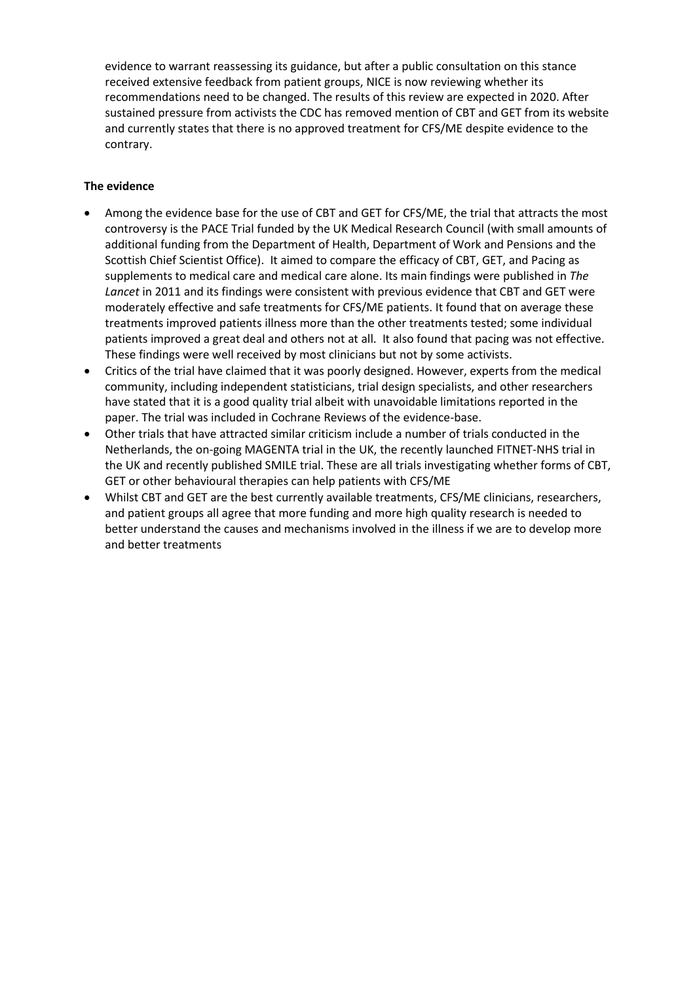evidence to warrant reassessing its guidance, but after a public consultation on this stance received extensive feedback from patient groups, NICE is now reviewing whether its recommendations need to be changed. The results of this review are expected in 2020. After sustained pressure from activists the CDC has removed mention of CBT and GET from its website and currently states that there is no approved treatment for CFS/ME despite evidence to the contrary.

### **The evidence**

- Among the evidence base for the use of CBT and GET for CFS/ME, the trial that attracts the most controversy is the PACE Trial funded by the UK Medical Research Council (with small amounts of additional funding from the Department of Health, Department of Work and Pensions and the Scottish Chief Scientist Office). It aimed to compare the efficacy of CBT, GET, and Pacing as supplements to medical care and medical care alone. Its main findings were published in *The Lancet* in 2011 and its findings were consistent with previous evidence that CBT and GET were moderately effective and safe treatments for CFS/ME patients. It found that on average these treatments improved patients illness more than the other treatments tested; some individual patients improved a great deal and others not at all. It also found that pacing was not effective. These findings were well received by most clinicians but not by some activists.
- Critics of the trial have claimed that it was poorly designed. However, experts from the medical community, including independent statisticians, trial design specialists, and other researchers have stated that it is a good quality trial albeit with unavoidable limitations reported in the paper. The trial was included in Cochrane Reviews of the evidence-base.
- Other trials that have attracted similar criticism include a number of trials conducted in the Netherlands, the on-going MAGENTA trial in the UK, the recently launched FITNET-NHS trial in the UK and recently published SMILE trial. These are all trials investigating whether forms of CBT, GET or other behavioural therapies can help patients with CFS/ME
- Whilst CBT and GET are the best currently available treatments, CFS/ME clinicians, researchers, and patient groups all agree that more funding and more high quality research is needed to better understand the causes and mechanisms involved in the illness if we are to develop more and better treatments